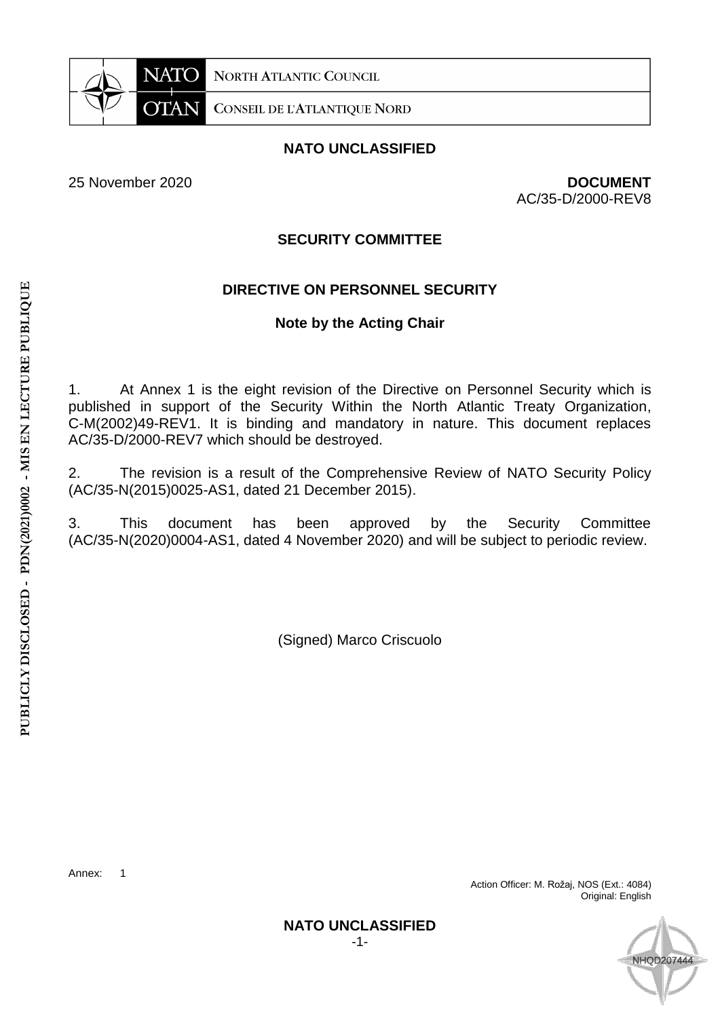

**NORTH ATLANTIC COUNCIL** 

**CONSEIL DE L'ATLANTIQUE NORD** 

## **NATO UNCLASSIFIED**

25 November 2020 **DOCUMENT**  AC/35-D/2000-REV8

#### **SECURITY COMMITTEE**

## **DIRECTIVE ON PERSONNEL SECURITY**

### **Note by the Acting Chair**

1. At Annex 1 is the eight revision of the Directive on Personnel Security which is published in support of the Security Within the North Atlantic Treaty Organization, C-M(2002)49-REV1. It is binding and mandatory in nature. This document replaces AC/35-D/2000-REV7 which should be destroyed.

2. The revision is a result of the Comprehensive Review of NATO Security Policy (AC/35-N(2015)0025-AS1, dated 21 December 2015).

3. This document has been approved by the Security Committee (AC/35-N(2020)0004-AS1, dated 4 November 2020) and will be subject to periodic review.

(Signed) Marco Criscuolo

Annex: 1

Action Officer: M. Rožaj, NOS (Ext.: 4084) Original: English



**NATO UNCLASSIFIED**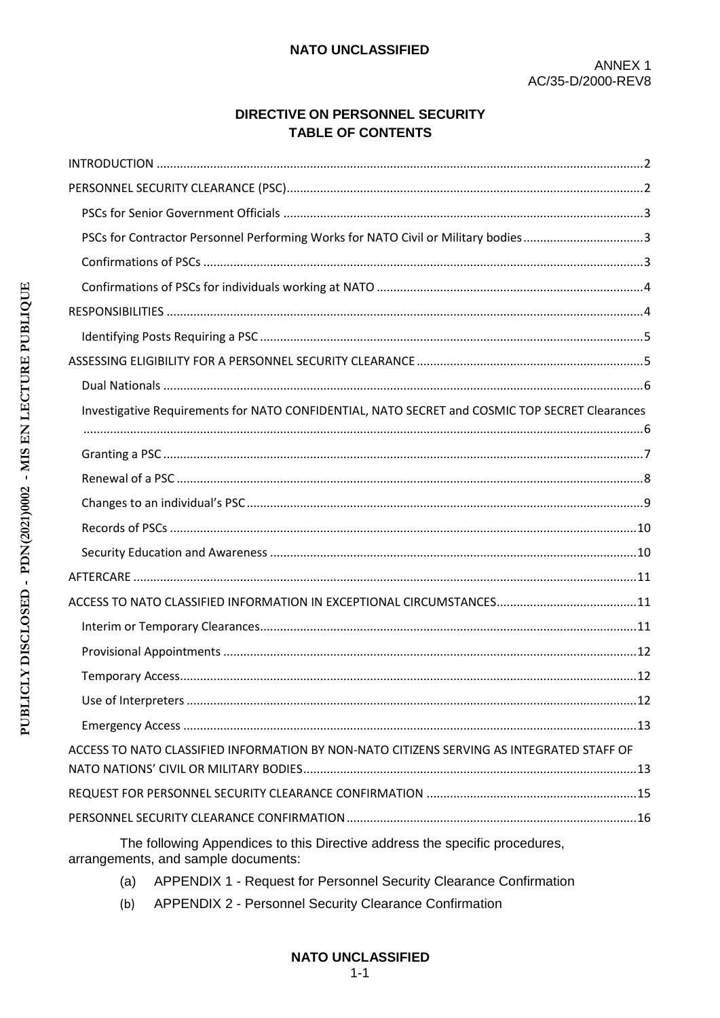## DIRECTIVE ON PERSONNEL SECURITY **TABLE OF CONTENTS**

| PSCs for Contractor Personnel Performing Works for NATO Civil or Military bodies3              |  |
|------------------------------------------------------------------------------------------------|--|
|                                                                                                |  |
|                                                                                                |  |
|                                                                                                |  |
|                                                                                                |  |
|                                                                                                |  |
|                                                                                                |  |
| Investigative Requirements for NATO CONFIDENTIAL, NATO SECRET and COSMIC TOP SECRET Clearances |  |
|                                                                                                |  |
|                                                                                                |  |
|                                                                                                |  |
|                                                                                                |  |
|                                                                                                |  |
|                                                                                                |  |
|                                                                                                |  |
|                                                                                                |  |
|                                                                                                |  |
|                                                                                                |  |
|                                                                                                |  |
|                                                                                                |  |
|                                                                                                |  |
| ACCESS TO NATO CLASSIFIED INFORMATION BY NON-NATO CITIZENS SERVING AS INTEGRATED STAFF OF      |  |
|                                                                                                |  |
|                                                                                                |  |
|                                                                                                |  |

The following Appendices to this Directive address the specific procedures, arrangements, and sample documents:

- (a) APPENDIX 1 Request for Personnel Security Clearance Confirmation
- APPENDIX 2 Personnel Security Clearance Confirmation  $(b)$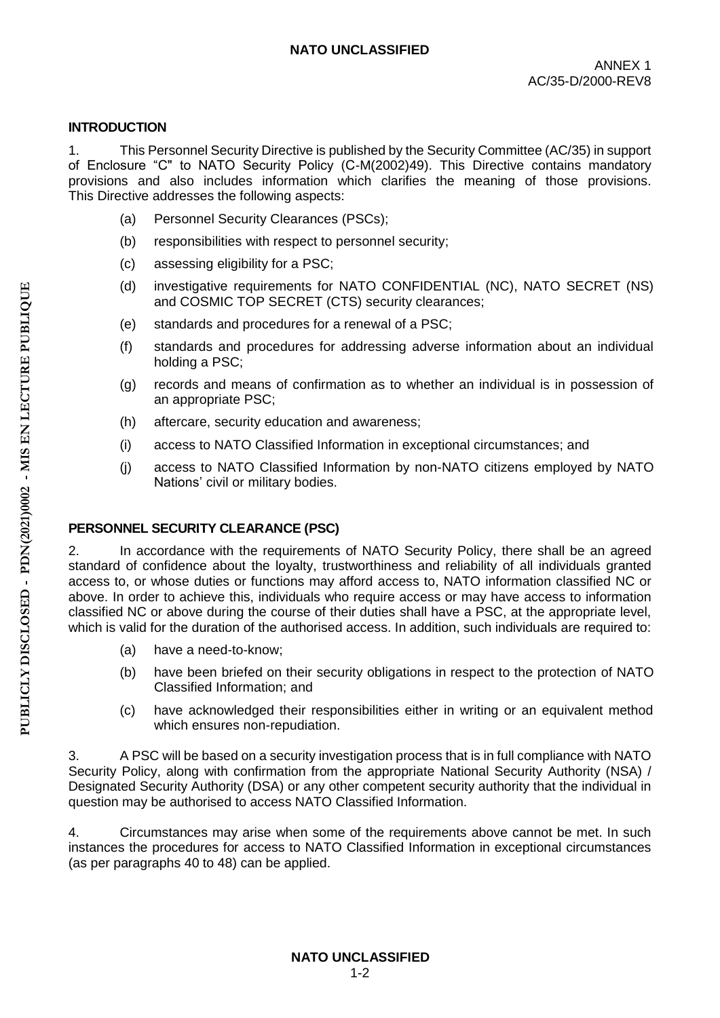### **INTRODUCTION**

1. This Personnel Security Directive is published by the Security Committee (AC/35) in support of Enclosure "C" to NATO Security Policy (C-M(2002)49). This Directive contains mandatory provisions and also includes information which clarifies the meaning of those provisions. This Directive addresses the following aspects:

- (a) Personnel Security Clearances (PSCs);
- (b) responsibilities with respect to personnel security;
- (c) assessing eligibility for a PSC;
- (d) investigative requirements for NATO CONFIDENTIAL (NC), NATO SECRET (NS) and COSMIC TOP SECRET (CTS) security clearances;
- (e) standards and procedures for a renewal of a PSC;
- (f) standards and procedures for addressing adverse information about an individual holding a PSC;
- (g) records and means of confirmation as to whether an individual is in possession of an appropriate PSC;
- (h) aftercare, security education and awareness;
- (i) access to NATO Classified Information in exceptional circumstances; and
- (j) access to NATO Classified Information by non-NATO citizens employed by NATO Nations' civil or military bodies.

## **PERSONNEL SECURITY CLEARANCE (PSC)**

2. In accordance with the requirements of NATO Security Policy, there shall be an agreed standard of confidence about the loyalty, trustworthiness and reliability of all individuals granted access to, or whose duties or functions may afford access to, NATO information classified NC or above. In order to achieve this, individuals who require access or may have access to information classified NC or above during the course of their duties shall have a PSC, at the appropriate level, which is valid for the duration of the authorised access. In addition, such individuals are required to:

- (a) have a need-to-know;
- (b) have been briefed on their security obligations in respect to the protection of NATO Classified Information; and
- (c) have acknowledged their responsibilities either in writing or an equivalent method which ensures non-repudiation.

3. A PSC will be based on a security investigation process that is in full compliance with NATO Security Policy, along with confirmation from the appropriate National Security Authority (NSA) / Designated Security Authority (DSA) or any other competent security authority that the individual in question may be authorised to access NATO Classified Information.

4. Circumstances may arise when some of the requirements above cannot be met. In such instances the procedures for access to NATO Classified Information in exceptional circumstances (as per paragraphs 40 to 48) can be applied.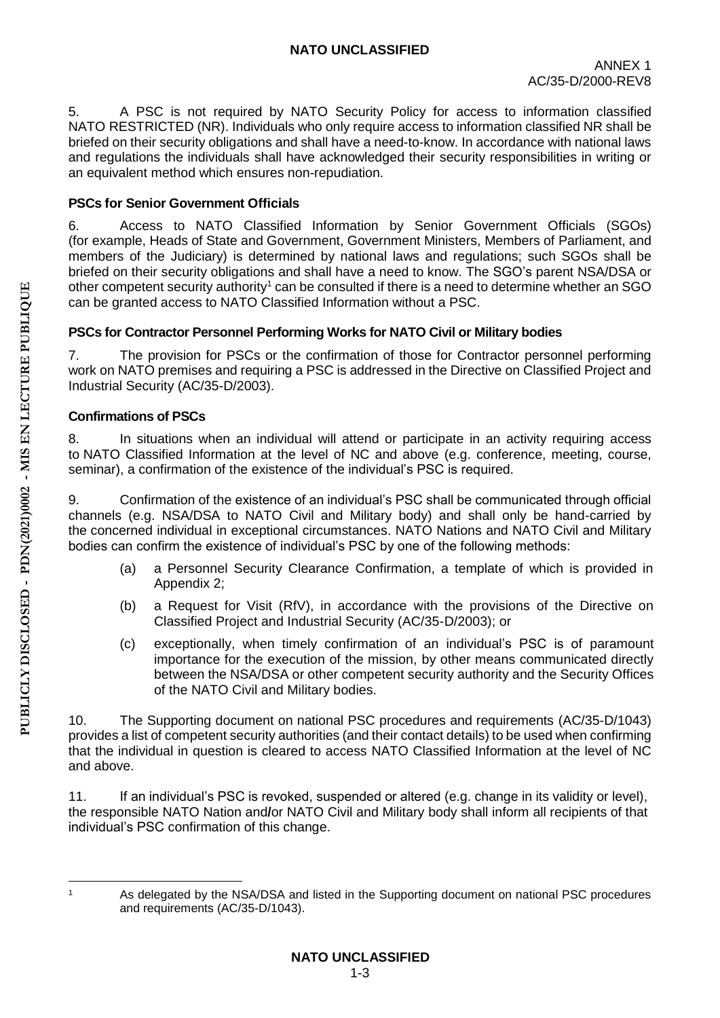5. A PSC is not required by NATO Security Policy for access to information classified NATO RESTRICTED (NR). Individuals who only require access to information classified NR shall be briefed on their security obligations and shall have a need-to-know. In accordance with national laws and regulations the individuals shall have acknowledged their security responsibilities in writing or an equivalent method which ensures non-repudiation.

# **PSCs for Senior Government Officials**

6. Access to NATO Classified Information by Senior Government Officials (SGOs) (for example, Heads of State and Government, Government Ministers, Members of Parliament, and members of the Judiciary) is determined by national laws and regulations; such SGOs shall be briefed on their security obligations and shall have a need to know. The SGO's parent NSA/DSA or other competent security authority<sup>1</sup> can be consulted if there is a need to determine whether an SGO can be granted access to NATO Classified Information without a PSC.

# **PSCs for Contractor Personnel Performing Works for NATO Civil or Military bodies**

7. The provision for PSCs or the confirmation of those for Contractor personnel performing work on NATO premises and requiring a PSC is addressed in the Directive on Classified Project and Industrial Security (AC/35-D/2003).

# **Confirmations of PSCs**

8. In situations when an individual will attend or participate in an activity requiring access to NATO Classified Information at the level of NC and above (e.g. conference, meeting, course, seminar), a confirmation of the existence of the individual's PSC is required.

9. Confirmation of the existence of an individual's PSC shall be communicated through official channels (e.g. NSA/DSA to NATO Civil and Military body) and shall only be hand-carried by the concerned individual in exceptional circumstances. NATO Nations and NATO Civil and Military bodies can confirm the existence of individual's PSC by one of the following methods:

- (a) a Personnel Security Clearance Confirmation, a template of which is provided in Appendix 2;
- (b) a Request for Visit (RfV), in accordance with the provisions of the Directive on Classified Project and Industrial Security (AC/35-D/2003); or
- (c) exceptionally, when timely confirmation of an individual's PSC is of paramount importance for the execution of the mission, by other means communicated directly between the NSA/DSA or other competent security authority and the Security Offices of the NATO Civil and Military bodies.

10. The Supporting document on national PSC procedures and requirements (AC/35-D/1043) provides a list of competent security authorities (and their contact details) to be used when confirming that the individual in question is cleared to access NATO Classified Information at the level of NC and above.

11. If an individual's PSC is revoked, suspended or altered (e.g. change in its validity or level), the responsible NATO Nation and**/**or NATO Civil and Military body shall inform all recipients of that individual's PSC confirmation of this change.

 $\overline{\phantom{a}}$ 

<sup>1</sup> As delegated by the NSA/DSA and listed in the Supporting document on national PSC procedures and requirements (AC/35-D/1043).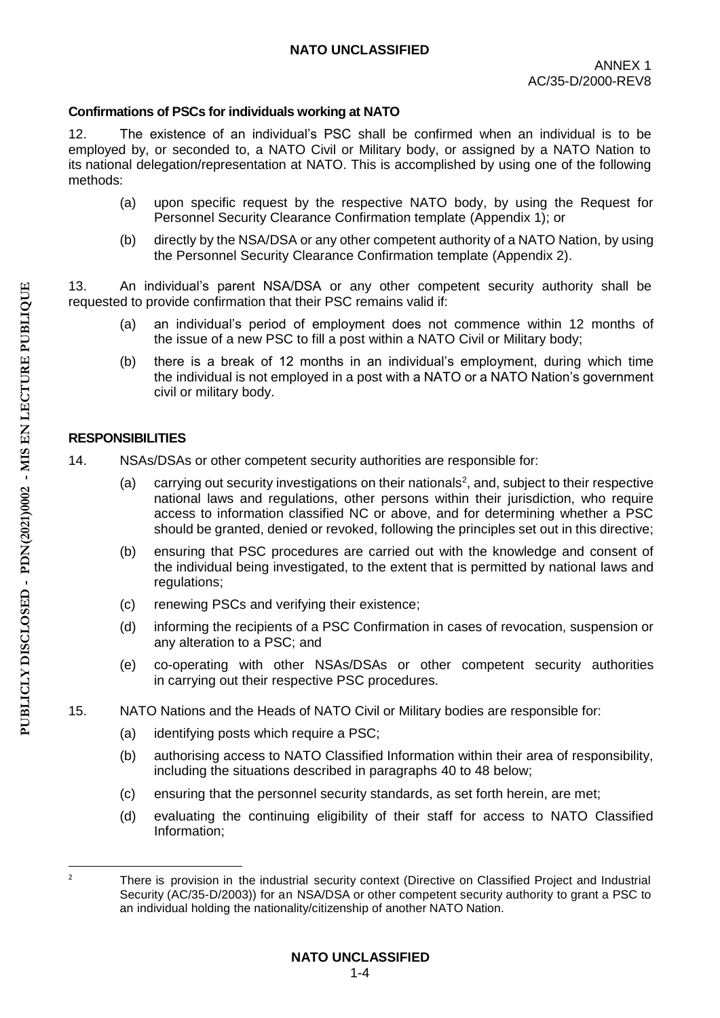### **Confirmations of PSCs for individuals working at NATO**

12. The existence of an individual's PSC shall be confirmed when an individual is to be employed by, or seconded to, a NATO Civil or Military body, or assigned by a NATO Nation to its national delegation/representation at NATO. This is accomplished by using one of the following methods:

- (a) upon specific request by the respective NATO body, by using the Request for Personnel Security Clearance Confirmation template (Appendix 1); or
- (b) directly by the NSA/DSA or any other competent authority of a NATO Nation, by using the Personnel Security Clearance Confirmation template (Appendix 2).

13. An individual's parent NSA/DSA or any other competent security authority shall be requested to provide confirmation that their PSC remains valid if:

- (a) an individual's period of employment does not commence within 12 months of the issue of a new PSC to fill a post within a NATO Civil or Military body;
- (b) there is a break of 12 months in an individual's employment, during which time the individual is not employed in a post with a NATO or a NATO Nation's government civil or military body.

### **RESPONSIBILITIES**

- 14. NSAs/DSAs or other competent security authorities are responsible for:
	- $(a)$  carrying out security investigations on their nationals<sup>2</sup>, and, subject to their respective national laws and regulations, other persons within their jurisdiction, who require access to information classified NC or above, and for determining whether a PSC should be granted, denied or revoked, following the principles set out in this directive;
	- (b) ensuring that PSC procedures are carried out with the knowledge and consent of the individual being investigated, to the extent that is permitted by national laws and regulations;
	- (c) renewing PSCs and verifying their existence;
	- (d) informing the recipients of a PSC Confirmation in cases of revocation, suspension or any alteration to a PSC; and
	- (e) co-operating with other NSAs/DSAs or other competent security authorities in carrying out their respective PSC procedures.
- 15. NATO Nations and the Heads of NATO Civil or Military bodies are responsible for:
	- (a) identifying posts which require a PSC;
	- (b) authorising access to NATO Classified Information within their area of responsibility, including the situations described in paragraphs 40 to 48 below;
	- (c) ensuring that the personnel security standards, as set forth herein, are met;
	- (d) evaluating the continuing eligibility of their staff for access to NATO Classified Information;

**.** 

<sup>&</sup>lt;sup>2</sup> There is provision in the industrial security context (Directive on Classified Project and Industrial Security (AC/35-D/2003)) for an NSA/DSA or other competent security authority to grant a PSC to an individual holding the nationality/citizenship of another NATO Nation.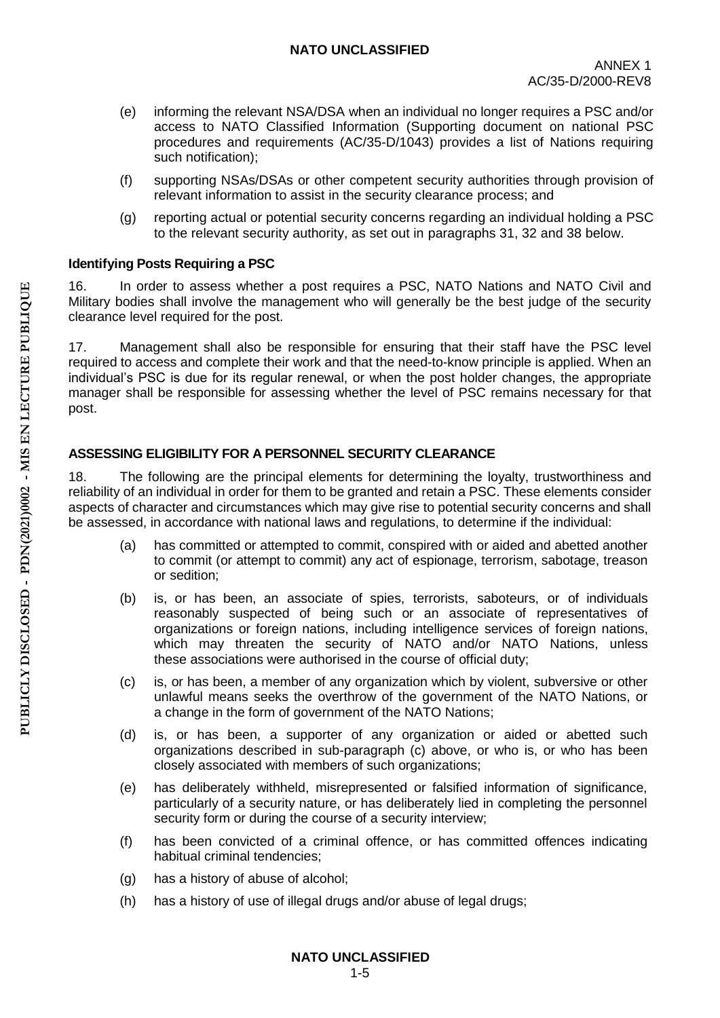- (e) informing the relevant NSA/DSA when an individual no longer requires a PSC and/or access to NATO Classified Information (Supporting document on national PSC procedures and requirements (AC/35-D/1043) provides a list of Nations requiring such notification);
- (f) supporting NSAs/DSAs or other competent security authorities through provision of relevant information to assist in the security clearance process; and
- (g) reporting actual or potential security concerns regarding an individual holding a PSC to the relevant security authority, as set out in paragraphs 31, 32 and 38 below.

# **Identifying Posts Requiring a PSC**

16. In order to assess whether a post requires a PSC, NATO Nations and NATO Civil and Military bodies shall involve the management who will generally be the best judge of the security clearance level required for the post.

17. Management shall also be responsible for ensuring that their staff have the PSC level required to access and complete their work and that the need-to-know principle is applied. When an individual's PSC is due for its regular renewal, or when the post holder changes, the appropriate manager shall be responsible for assessing whether the level of PSC remains necessary for that post.

# **ASSESSING ELIGIBILITY FOR A PERSONNEL SECURITY CLEARANCE**

18. The following are the principal elements for determining the loyalty, trustworthiness and reliability of an individual in order for them to be granted and retain a PSC. These elements consider aspects of character and circumstances which may give rise to potential security concerns and shall be assessed, in accordance with national laws and regulations, to determine if the individual:

- (a) has committed or attempted to commit, conspired with or aided and abetted another to commit (or attempt to commit) any act of espionage, terrorism, sabotage, treason or sedition;
- (b) is, or has been, an associate of spies, terrorists, saboteurs, or of individuals reasonably suspected of being such or an associate of representatives of organizations or foreign nations, including intelligence services of foreign nations, which may threaten the security of NATO and/or NATO Nations, unless these associations were authorised in the course of official duty;
- (c) is, or has been, a member of any organization which by violent, subversive or other unlawful means seeks the overthrow of the government of the NATO Nations, or a change in the form of government of the NATO Nations;
- (d) is, or has been, a supporter of any organization or aided or abetted such organizations described in sub-paragraph (c) above, or who is, or who has been closely associated with members of such organizations;
- (e) has deliberately withheld, misrepresented or falsified information of significance, particularly of a security nature, or has deliberately lied in completing the personnel security form or during the course of a security interview;
- (f) has been convicted of a criminal offence, or has committed offences indicating habitual criminal tendencies;
- (g) has a history of abuse of alcohol;
- (h) has a history of use of illegal drugs and/or abuse of legal drugs;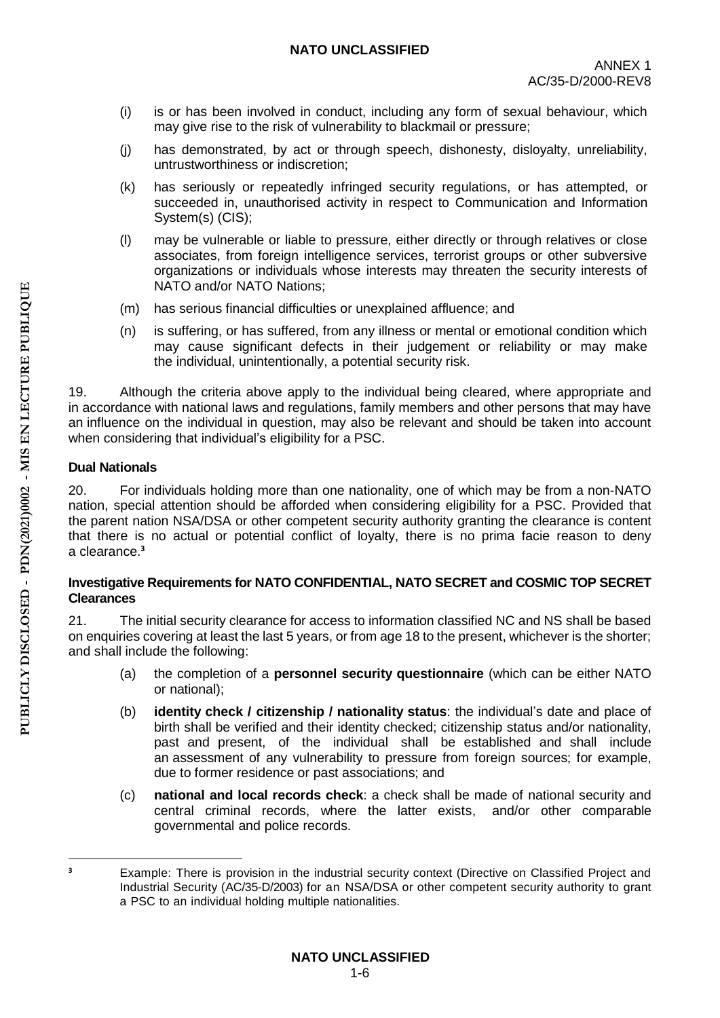- (i) is or has been involved in conduct, including any form of sexual behaviour, which may give rise to the risk of vulnerability to blackmail or pressure;
- (j) has demonstrated, by act or through speech, dishonesty, disloyalty, unreliability, untrustworthiness or indiscretion;
- (k) has seriously or repeatedly infringed security regulations, or has attempted, or succeeded in, unauthorised activity in respect to Communication and Information System(s) (CIS);
- (l) may be vulnerable or liable to pressure, either directly or through relatives or close associates, from foreign intelligence services, terrorist groups or other subversive organizations or individuals whose interests may threaten the security interests of NATO and/or NATO Nations;
- (m) has serious financial difficulties or unexplained affluence; and
- (n) is suffering, or has suffered, from any illness or mental or emotional condition which may cause significant defects in their judgement or reliability or may make the individual, unintentionally, a potential security risk.

19. Although the criteria above apply to the individual being cleared, where appropriate and in accordance with national laws and regulations, family members and other persons that may have an influence on the individual in question, may also be relevant and should be taken into account when considering that individual's eligibility for a PSC.

# **Dual Nationals**

20. For individuals holding more than one nationality, one of which may be from a non-NATO nation, special attention should be afforded when considering eligibility for a PSC. Provided that the parent nation NSA/DSA or other competent security authority granting the clearance is content that there is no actual or potential conflict of loyalty, there is no prima facie reason to deny a clearance.**<sup>3</sup>**

### **Investigative Requirements for NATO CONFIDENTIAL, NATO SECRET and COSMIC TOP SECRET Clearances**

21. The initial security clearance for access to information classified NC and NS shall be based on enquiries covering at least the last 5 years, or from age 18 to the present, whichever is the shorter; and shall include the following:

- (a) the completion of a **personnel security questionnaire** (which can be either NATO or national);
- (b) **identity check / citizenship / nationality status**: the individual's date and place of birth shall be verified and their identity checked; citizenship status and/or nationality, past and present, of the individual shall be established and shall include an assessment of any vulnerability to pressure from foreign sources; for example, due to former residence or past associations; and
- (c) **national and local records check**: a check shall be made of national security and central criminal records, where the latter exists, and/or other comparable governmental and police records.

 $\overline{a}$ **<sup>3</sup>** Example: There is provision in the industrial security context (Directive on Classified Project and Industrial Security (AC/35-D/2003) for an NSA/DSA or other competent security authority to grant a PSC to an individual holding multiple nationalities.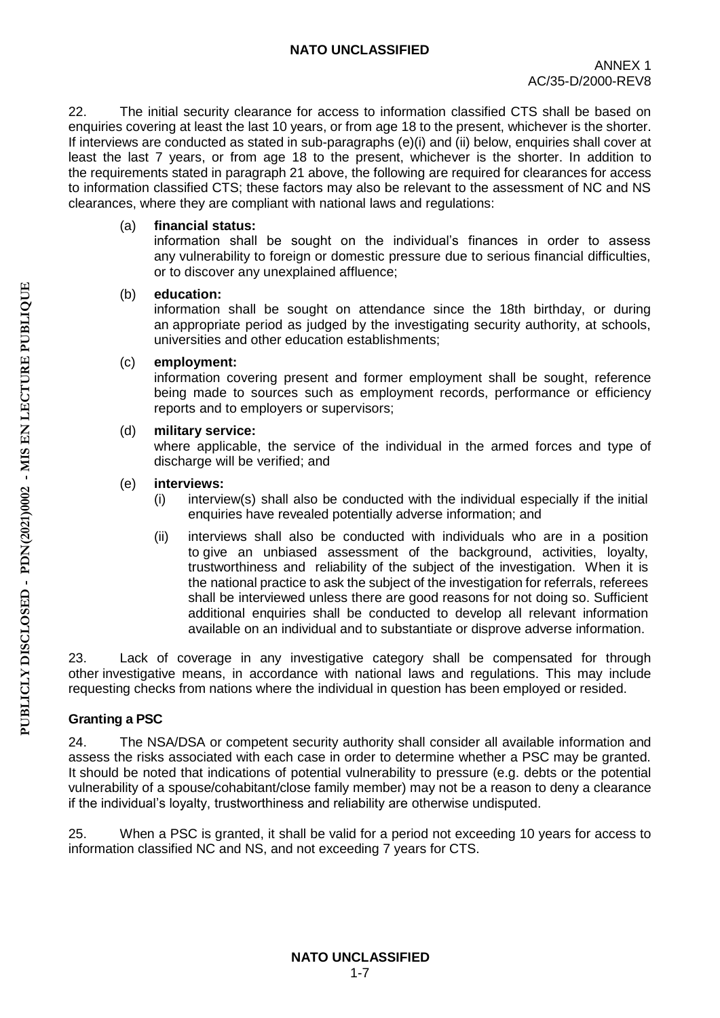22. The initial security clearance for access to information classified CTS shall be based on enquiries covering at least the last 10 years, or from age 18 to the present, whichever is the shorter. If interviews are conducted as stated in sub-paragraphs (e)(i) and (ii) below, enquiries shall cover at least the last 7 years, or from age 18 to the present, whichever is the shorter. In addition to the requirements stated in paragraph 21 above, the following are required for clearances for access to information classified CTS; these factors may also be relevant to the assessment of NC and NS clearances, where they are compliant with national laws and regulations:

### (a) **financial status:**

information shall be sought on the individual's finances in order to assess any vulnerability to foreign or domestic pressure due to serious financial difficulties, or to discover any unexplained affluence;

#### (b) **education:**

information shall be sought on attendance since the 18th birthday, or during an appropriate period as judged by the investigating security authority, at schools, universities and other education establishments;

### (c) **employment:**

information covering present and former employment shall be sought, reference being made to sources such as employment records, performance or efficiency reports and to employers or supervisors;

### (d) **military service:**

where applicable, the service of the individual in the armed forces and type of discharge will be verified; and

### (e) **interviews:**

- $(i)$  interview(s) shall also be conducted with the individual especially if the initial enquiries have revealed potentially adverse information; and
- (ii) interviews shall also be conducted with individuals who are in a position to give an unbiased assessment of the background, activities, loyalty, trustworthiness and reliability of the subject of the investigation. When it is the national practice to ask the subject of the investigation for referrals, referees shall be interviewed unless there are good reasons for not doing so. Sufficient additional enquiries shall be conducted to develop all relevant information available on an individual and to substantiate or disprove adverse information.

23. Lack of coverage in any investigative category shall be compensated for through other investigative means, in accordance with national laws and regulations. This may include requesting checks from nations where the individual in question has been employed or resided.

## **Granting a PSC**

24. The NSA/DSA or competent security authority shall consider all available information and assess the risks associated with each case in order to determine whether a PSC may be granted. It should be noted that indications of potential vulnerability to pressure (e.g. debts or the potential vulnerability of a spouse/cohabitant/close family member) may not be a reason to deny a clearance if the individual's loyalty, trustworthiness and reliability are otherwise undisputed.

25. When a PSC is granted, it shall be valid for a period not exceeding 10 years for access to information classified NC and NS, and not exceeding 7 years for CTS.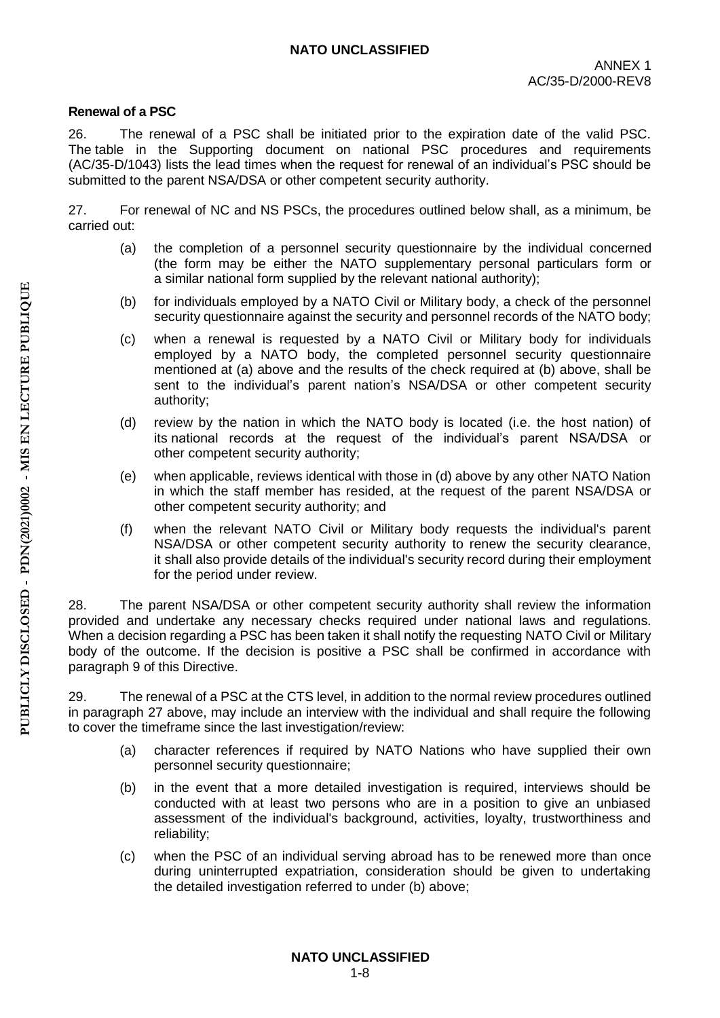#### **Renewal of a PSC**

26. The renewal of a PSC shall be initiated prior to the expiration date of the valid PSC. The table in the Supporting document on national PSC procedures and requirements (AC/35-D/1043) lists the lead times when the request for renewal of an individual's PSC should be submitted to the parent NSA/DSA or other competent security authority.

27. For renewal of NC and NS PSCs, the procedures outlined below shall, as a minimum, be carried out:

- (a) the completion of a personnel security questionnaire by the individual concerned (the form may be either the NATO supplementary personal particulars form or a similar national form supplied by the relevant national authority);
- (b) for individuals employed by a NATO Civil or Military body, a check of the personnel security questionnaire against the security and personnel records of the NATO body;
- (c) when a renewal is requested by a NATO Civil or Military body for individuals employed by a NATO body, the completed personnel security questionnaire mentioned at (a) above and the results of the check required at (b) above, shall be sent to the individual's parent nation's NSA/DSA or other competent security authority;
- (d) review by the nation in which the NATO body is located (i.e. the host nation) of its national records at the request of the individual's parent NSA/DSA or other competent security authority;
- (e) when applicable, reviews identical with those in (d) above by any other NATO Nation in which the staff member has resided, at the request of the parent NSA/DSA or other competent security authority; and
- (f) when the relevant NATO Civil or Military body requests the individual's parent NSA/DSA or other competent security authority to renew the security clearance, it shall also provide details of the individual's security record during their employment for the period under review.

28. The parent NSA/DSA or other competent security authority shall review the information provided and undertake any necessary checks required under national laws and regulations. When a decision regarding a PSC has been taken it shall notify the requesting NATO Civil or Military body of the outcome. If the decision is positive a PSC shall be confirmed in accordance with paragraph 9 of this Directive.

29. The renewal of a PSC at the CTS level, in addition to the normal review procedures outlined in paragraph 27 above, may include an interview with the individual and shall require the following to cover the timeframe since the last investigation/review:

- (a) character references if required by NATO Nations who have supplied their own personnel security questionnaire;
- (b) in the event that a more detailed investigation is required, interviews should be conducted with at least two persons who are in a position to give an unbiased assessment of the individual's background, activities, loyalty, trustworthiness and reliability;
- (c) when the PSC of an individual serving abroad has to be renewed more than once during uninterrupted expatriation, consideration should be given to undertaking the detailed investigation referred to under (b) above;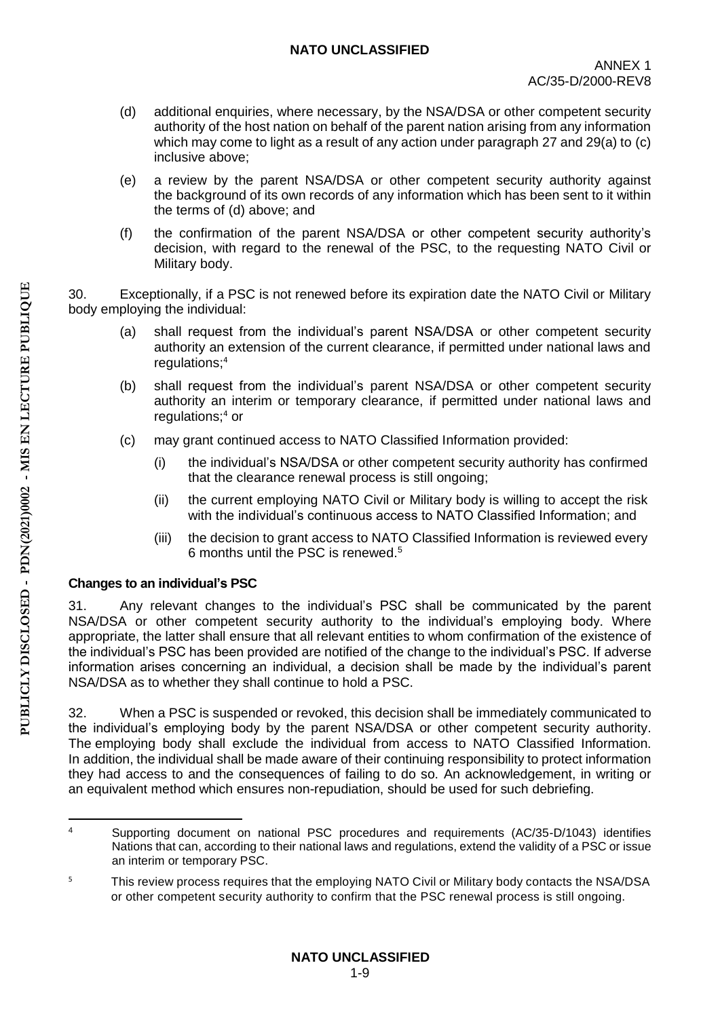- (d) additional enquiries, where necessary, by the NSA/DSA or other competent security authority of the host nation on behalf of the parent nation arising from any information which may come to light as a result of any action under paragraph 27 and 29(a) to (c) inclusive above;
- (e) a review by the parent NSA/DSA or other competent security authority against the background of its own records of any information which has been sent to it within the terms of (d) above; and
- (f) the confirmation of the parent NSA/DSA or other competent security authority's decision, with regard to the renewal of the PSC, to the requesting NATO Civil or Military body.

30. Exceptionally, if a PSC is not renewed before its expiration date the NATO Civil or Military body employing the individual:

- (a) shall request from the individual's parent NSA/DSA or other competent security authority an extension of the current clearance, if permitted under national laws and regulations; 4
- (b) shall request from the individual's parent NSA/DSA or other competent security authority an interim or temporary clearance, if permitted under national laws and regulations;<sup>4</sup> or
- (c) may grant continued access to NATO Classified Information provided:
	- (i) the individual's NSA/DSA or other competent security authority has confirmed that the clearance renewal process is still ongoing;
	- (ii) the current employing NATO Civil or Military body is willing to accept the risk with the individual's continuous access to NATO Classified Information; and
	- (iii) the decision to grant access to NATO Classified Information is reviewed every 6 months until the PSC is renewed. 5

## **Changes to an individual's PSC**

31. Any relevant changes to the individual's PSC shall be communicated by the parent NSA/DSA or other competent security authority to the individual's employing body. Where appropriate, the latter shall ensure that all relevant entities to whom confirmation of the existence of the individual's PSC has been provided are notified of the change to the individual's PSC. If adverse information arises concerning an individual, a decision shall be made by the individual's parent NSA/DSA as to whether they shall continue to hold a PSC.

32. When a PSC is suspended or revoked, this decision shall be immediately communicated to the individual's employing body by the parent NSA/DSA or other competent security authority. The employing body shall exclude the individual from access to NATO Classified Information. In addition, the individual shall be made aware of their continuing responsibility to protect information they had access to and the consequences of failing to do so. An acknowledgement, in writing or an equivalent method which ensures non-repudiation, should be used for such debriefing.

**<sup>.</sup>** <sup>4</sup> Supporting document on national PSC procedures and requirements (AC/35-D/1043) identifies Nations that can, according to their national laws and regulations, extend the validity of a PSC or issue an interim or temporary PSC.

<sup>&</sup>lt;sup>5</sup> This review process requires that the employing NATO Civil or Military body contacts the NSA/DSA or other competent security authority to confirm that the PSC renewal process is still ongoing.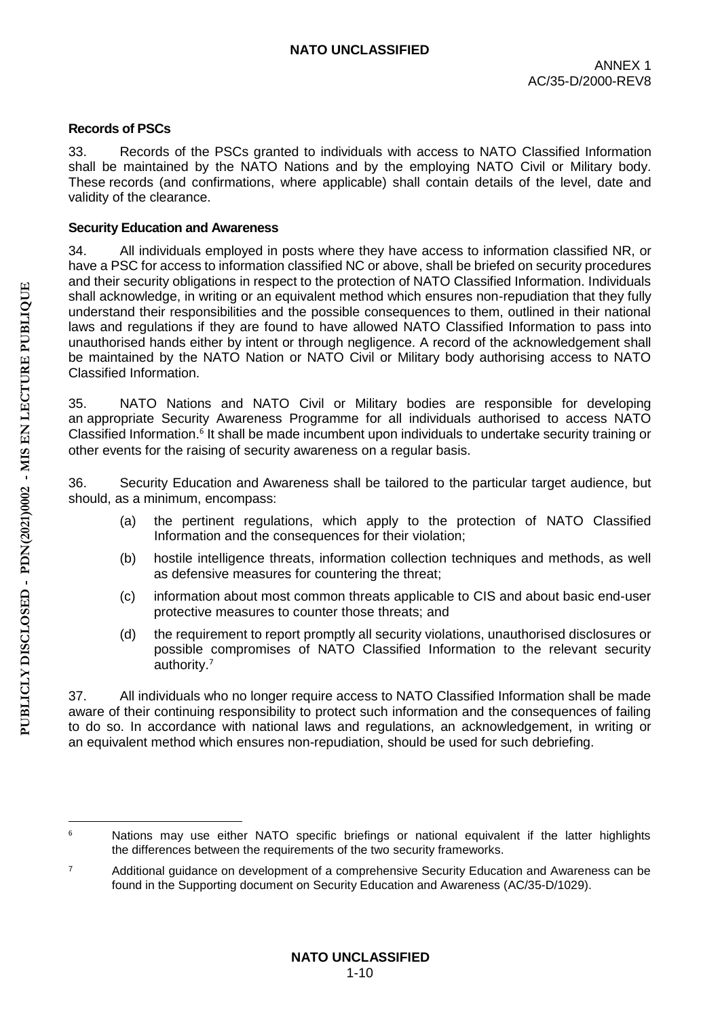#### **Records of PSCs**

33. Records of the PSCs granted to individuals with access to NATO Classified Information shall be maintained by the NATO Nations and by the employing NATO Civil or Military body. These records (and confirmations, where applicable) shall contain details of the level, date and validity of the clearance.

#### **Security Education and Awareness**

34. All individuals employed in posts where they have access to information classified NR, or have a PSC for access to information classified NC or above, shall be briefed on security procedures and their security obligations in respect to the protection of NATO Classified Information. Individuals shall acknowledge, in writing or an equivalent method which ensures non-repudiation that they fully understand their responsibilities and the possible consequences to them, outlined in their national laws and regulations if they are found to have allowed NATO Classified Information to pass into unauthorised hands either by intent or through negligence. A record of the acknowledgement shall be maintained by the NATO Nation or NATO Civil or Military body authorising access to NATO Classified Information.

35. NATO Nations and NATO Civil or Military bodies are responsible for developing an appropriate Security Awareness Programme for all individuals authorised to access NATO Classified Information.<sup>6</sup> It shall be made incumbent upon individuals to undertake security training or other events for the raising of security awareness on a regular basis.

36. Security Education and Awareness shall be tailored to the particular target audience, but should, as a minimum, encompass:

- (a) the pertinent regulations, which apply to the protection of NATO Classified Information and the consequences for their violation;
- (b) hostile intelligence threats, information collection techniques and methods, as well as defensive measures for countering the threat;
- (c) information about most common threats applicable to CIS and about basic end-user protective measures to counter those threats; and
- (d) the requirement to report promptly all security violations, unauthorised disclosures or possible compromises of NATO Classified Information to the relevant security authority.<sup>7</sup>

37. All individuals who no longer require access to NATO Classified Information shall be made aware of their continuing responsibility to protect such information and the consequences of failing to do so. In accordance with national laws and regulations, an acknowledgement, in writing or an equivalent method which ensures non-repudiation, should be used for such debriefing.

1

<sup>&</sup>lt;sup>6</sup> Nations may use either NATO specific briefings or national equivalent if the latter highlights the differences between the requirements of the two security frameworks.

<sup>&</sup>lt;sup>7</sup> Additional guidance on development of a comprehensive Security Education and Awareness can be found in the Supporting document on Security Education and Awareness (AC/35-D/1029).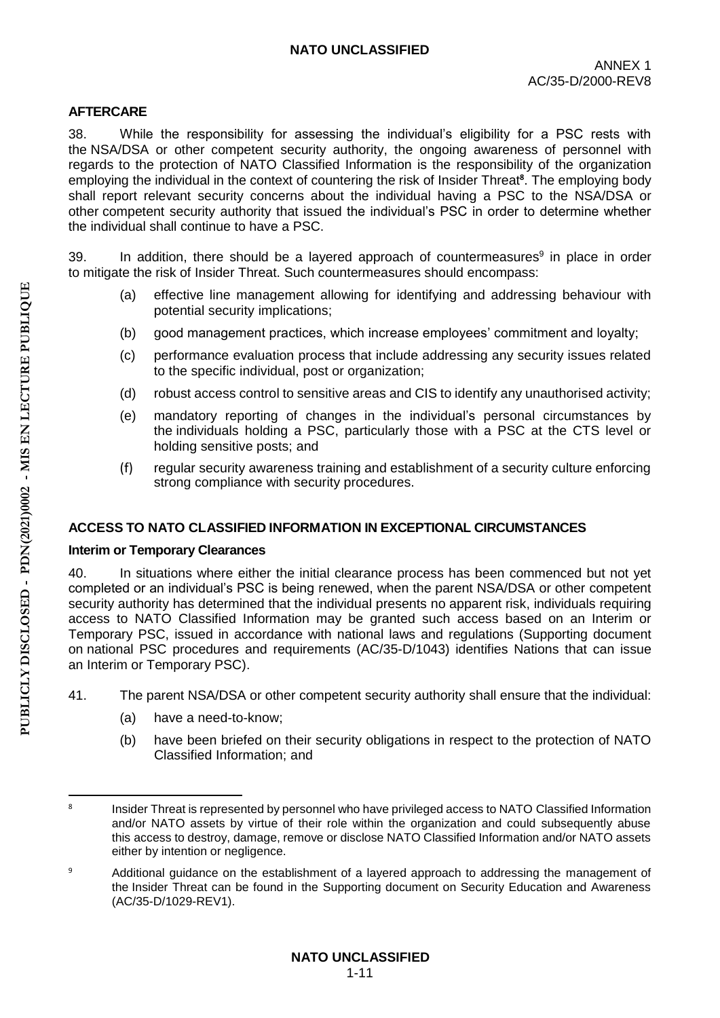### **AFTERCARE**

38. While the responsibility for assessing the individual's eligibility for a PSC rests with the NSA/DSA or other competent security authority, the ongoing awareness of personnel with regards to the protection of NATO Classified Information is the responsibility of the organization employing the individual in the context of countering the risk of Insider Threat**<sup>8</sup>** . The employing body shall report relevant security concerns about the individual having a PSC to the NSA/DSA or other competent security authority that issued the individual's PSC in order to determine whether the individual shall continue to have a PSC.

39. In addition, there should be a layered approach of countermeasures<sup>9</sup> in place in order to mitigate the risk of Insider Threat. Such countermeasures should encompass:

- (a) effective line management allowing for identifying and addressing behaviour with potential security implications;
- (b) good management practices, which increase employees' commitment and loyalty;
- (c) performance evaluation process that include addressing any security issues related to the specific individual, post or organization;
- (d) robust access control to sensitive areas and CIS to identify any unauthorised activity;
- (e) mandatory reporting of changes in the individual's personal circumstances by the individuals holding a PSC, particularly those with a PSC at the CTS level or holding sensitive posts; and
- (f) regular security awareness training and establishment of a security culture enforcing strong compliance with security procedures.

## **ACCESS TO NATO CLASSIFIED INFORMATION IN EXCEPTIONAL CIRCUMSTANCES**

#### **Interim or Temporary Clearances**

40. In situations where either the initial clearance process has been commenced but not yet completed or an individual's PSC is being renewed, when the parent NSA/DSA or other competent security authority has determined that the individual presents no apparent risk, individuals requiring access to NATO Classified Information may be granted such access based on an Interim or Temporary PSC, issued in accordance with national laws and regulations (Supporting document on national PSC procedures and requirements (AC/35-D/1043) identifies Nations that can issue an Interim or Temporary PSC).

- 41. The parent NSA/DSA or other competent security authority shall ensure that the individual:
	- (a) have a need-to-know;
	- (b) have been briefed on their security obligations in respect to the protection of NATO Classified Information; and

<sup>1</sup> 8 Insider Threat is represented by personnel who have privileged access to NATO Classified Information and/or NATO assets by virtue of their role within the organization and could subsequently abuse this access to destroy, damage, remove or disclose NATO Classified Information and/or NATO assets either by intention or negligence.

<sup>&</sup>lt;sup>9</sup> Additional guidance on the establishment of a layered approach to addressing the management of the Insider Threat can be found in the Supporting document on Security Education and Awareness (AC/35-D/1029-REV1).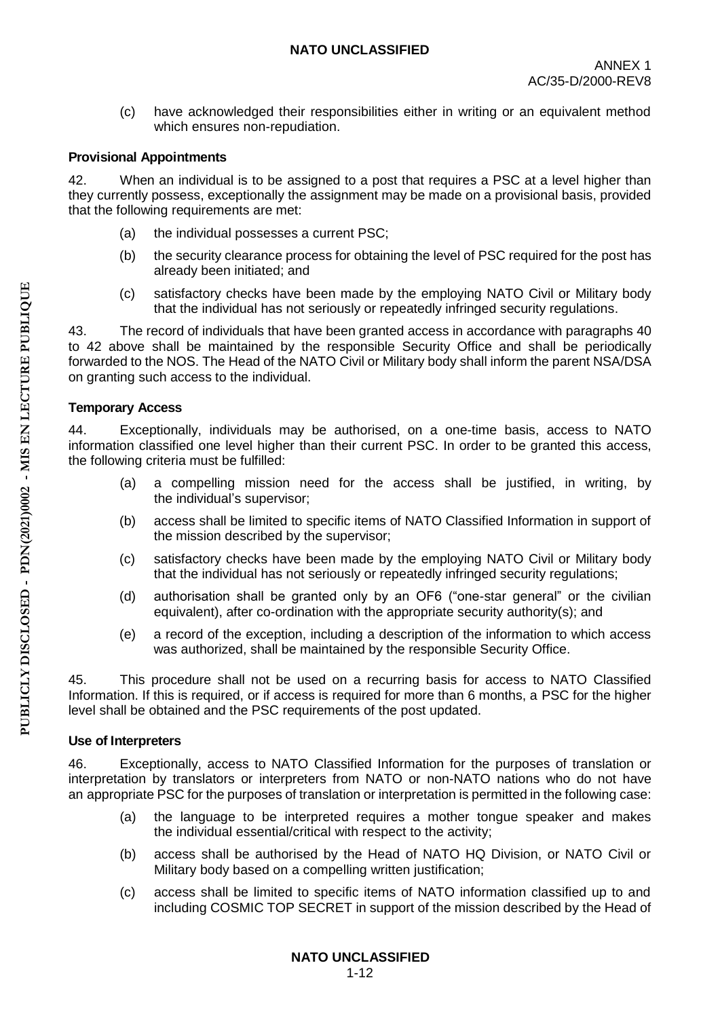(c) have acknowledged their responsibilities either in writing or an equivalent method which ensures non-repudiation.

## **Provisional Appointments**

42. When an individual is to be assigned to a post that requires a PSC at a level higher than they currently possess, exceptionally the assignment may be made on a provisional basis, provided that the following requirements are met:

- (a) the individual possesses a current PSC;
- (b) the security clearance process for obtaining the level of PSC required for the post has already been initiated; and
- (c) satisfactory checks have been made by the employing NATO Civil or Military body that the individual has not seriously or repeatedly infringed security regulations.

43. The record of individuals that have been granted access in accordance with paragraphs 40 to 42 above shall be maintained by the responsible Security Office and shall be periodically forwarded to the NOS. The Head of the NATO Civil or Military body shall inform the parent NSA/DSA on granting such access to the individual.

## **Temporary Access**

44. Exceptionally, individuals may be authorised, on a one-time basis, access to NATO information classified one level higher than their current PSC. In order to be granted this access, the following criteria must be fulfilled:

- (a) a compelling mission need for the access shall be justified, in writing, by the individual's supervisor;
- (b) access shall be limited to specific items of NATO Classified Information in support of the mission described by the supervisor;
- (c) satisfactory checks have been made by the employing NATO Civil or Military body that the individual has not seriously or repeatedly infringed security regulations;
- (d) authorisation shall be granted only by an OF6 ("one-star general" or the civilian equivalent), after co-ordination with the appropriate security authority(s); and
- (e) a record of the exception, including a description of the information to which access was authorized, shall be maintained by the responsible Security Office.

45. This procedure shall not be used on a recurring basis for access to NATO Classified Information. If this is required, or if access is required for more than 6 months, a PSC for the higher level shall be obtained and the PSC requirements of the post updated.

## **Use of Interpreters**

46. Exceptionally, access to NATO Classified Information for the purposes of translation or interpretation by translators or interpreters from NATO or non-NATO nations who do not have an appropriate PSC for the purposes of translation or interpretation is permitted in the following case:

- (a) the language to be interpreted requires a mother tongue speaker and makes the individual essential/critical with respect to the activity;
- (b) access shall be authorised by the Head of NATO HQ Division, or NATO Civil or Military body based on a compelling written justification;
- (c) access shall be limited to specific items of NATO information classified up to and including COSMIC TOP SECRET in support of the mission described by the Head of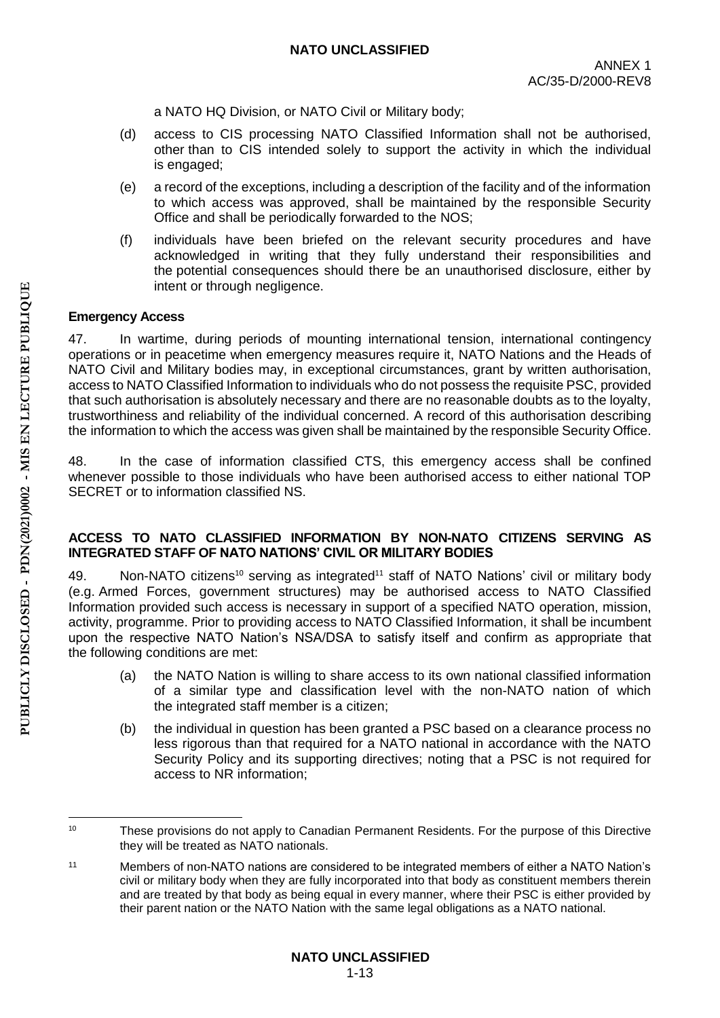a NATO HQ Division, or NATO Civil or Military body;

- (d) access to CIS processing NATO Classified Information shall not be authorised, other than to CIS intended solely to support the activity in which the individual is engaged;
- (e) a record of the exceptions, including a description of the facility and of the information to which access was approved, shall be maintained by the responsible Security Office and shall be periodically forwarded to the NOS;
- (f) individuals have been briefed on the relevant security procedures and have acknowledged in writing that they fully understand their responsibilities and the potential consequences should there be an unauthorised disclosure, either by intent or through negligence.

## **Emergency Access**

47. In wartime, during periods of mounting international tension, international contingency operations or in peacetime when emergency measures require it, NATO Nations and the Heads of NATO Civil and Military bodies may, in exceptional circumstances, grant by written authorisation, access to NATO Classified Information to individuals who do not possess the requisite PSC, provided that such authorisation is absolutely necessary and there are no reasonable doubts as to the loyalty, trustworthiness and reliability of the individual concerned. A record of this authorisation describing the information to which the access was given shall be maintained by the responsible Security Office.

48. In the case of information classified CTS, this emergency access shall be confined whenever possible to those individuals who have been authorised access to either national TOP SECRET or to information classified NS.

### **ACCESS TO NATO CLASSIFIED INFORMATION BY NON-NATO CITIZENS SERVING AS INTEGRATED STAFF OF NATO NATIONS' CIVIL OR MILITARY BODIES**

49. Non-NATO citizens<sup>10</sup> serving as integrated<sup>11</sup> staff of NATO Nations' civil or military body (e.g. Armed Forces, government structures) may be authorised access to NATO Classified Information provided such access is necessary in support of a specified NATO operation, mission, activity, programme. Prior to providing access to NATO Classified Information, it shall be incumbent upon the respective NATO Nation's NSA/DSA to satisfy itself and confirm as appropriate that the following conditions are met:

- (a) the NATO Nation is willing to share access to its own national classified information of a similar type and classification level with the non-NATO nation of which the integrated staff member is a citizen;
- (b) the individual in question has been granted a PSC based on a clearance process no less rigorous than that required for a NATO national in accordance with the NATO Security Policy and its supporting directives; noting that a PSC is not required for access to NR information;

**<sup>.</sup>** <sup>10</sup> These provisions do not apply to Canadian Permanent Residents. For the purpose of this Directive they will be treated as NATO nationals.

<sup>11</sup> Members of non-NATO nations are considered to be integrated members of either a NATO Nation's civil or military body when they are fully incorporated into that body as constituent members therein and are treated by that body as being equal in every manner, where their PSC is either provided by their parent nation or the NATO Nation with the same legal obligations as a NATO national.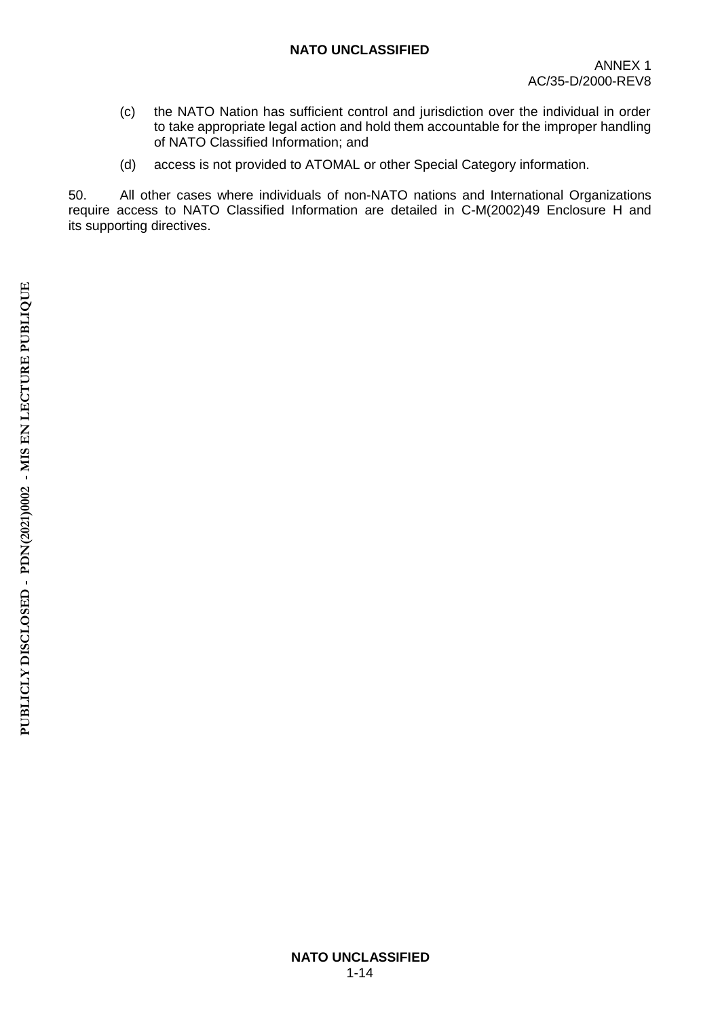- (c) the NATO Nation has sufficient control and jurisdiction over the individual in order to take appropriate legal action and hold them accountable for the improper handling of NATO Classified Information; and
- (d) access is not provided to ATOMAL or other Special Category information.

50. All other cases where individuals of non-NATO nations and International Organizations require access to NATO Classified Information are detailed in C-M(2002)49 Enclosure H and its supporting directives.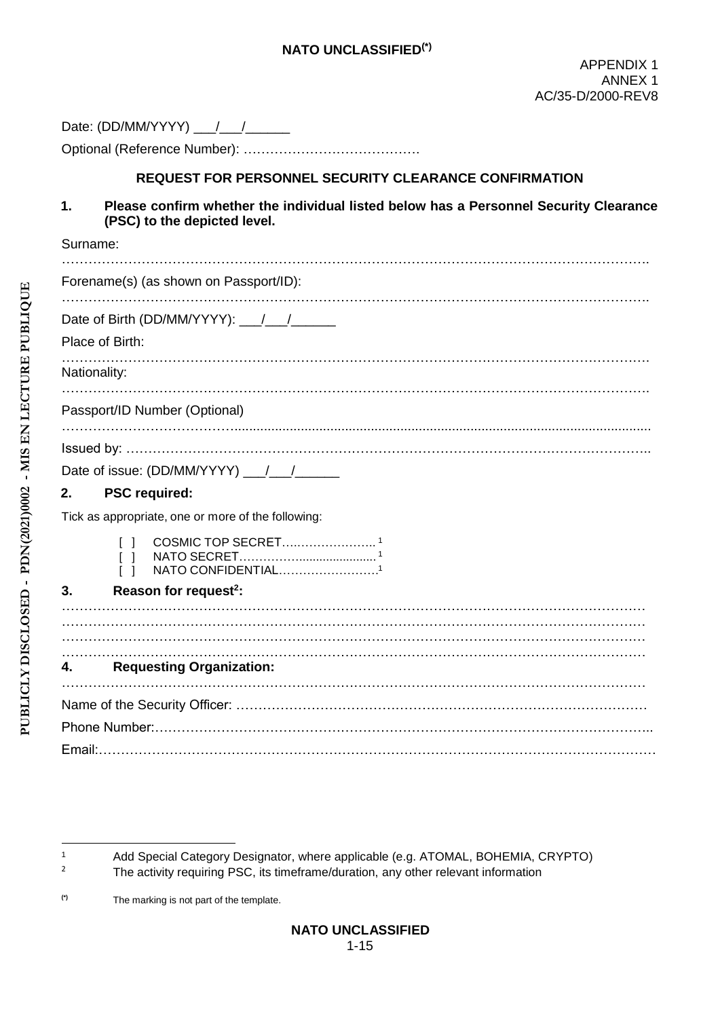| Date: (DD/MM/YYYY) |  |
|--------------------|--|
|--------------------|--|

Optional (Reference Number): ………………………………….

#### **REQUEST FOR PERSONNEL SECURITY CLEARANCE CONFIRMATION**

**1. Please confirm whether the individual listed below has a Personnel Security Clearance (PSC) to the depicted level.**

| Surname:                                           |
|----------------------------------------------------|
| Forename(s) (as shown on Passport/ID):             |
|                                                    |
| Place of Birth:                                    |
| Nationality:                                       |
| Passport/ID Number (Optional)                      |
|                                                    |
|                                                    |
|                                                    |
| <b>PSC required:</b><br>2.                         |
| Tick as appropriate, one or more of the following: |
| NATO CONFIDENTIAL1                                 |
| Reason for request <sup>2</sup> :<br>3.            |
|                                                    |
|                                                    |
| <b>Requesting Organization:</b><br>4.              |
|                                                    |
|                                                    |
|                                                    |
|                                                    |

**(\*)** The marking is not part of the template.

**.** 

<sup>1</sup> Add Special Category Designator, where applicable (e.g. ATOMAL, BOHEMIA, CRYPTO)

The activity requiring PSC, its timeframe/duration, any other relevant information